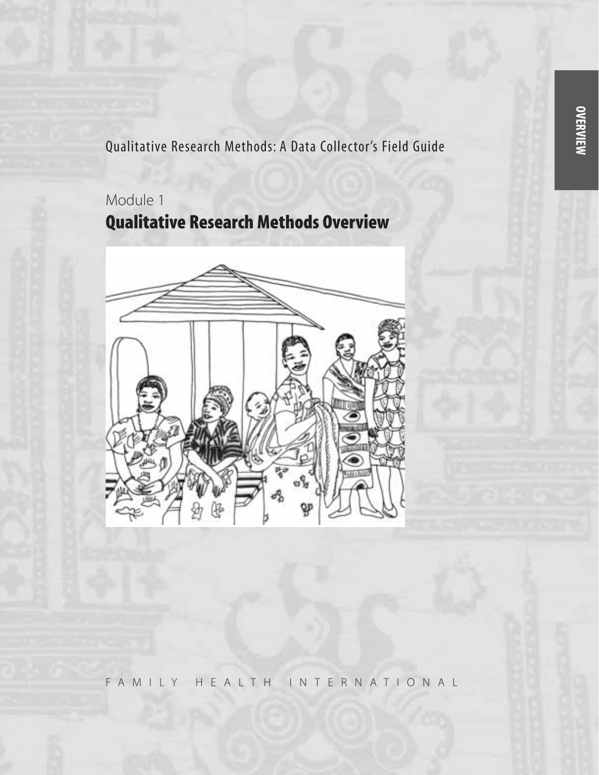Qualitative Research Methods: A Data Collector's Field Guide

## Module 1 **Qualitative Research Methods Overview**



FAMILY HEALTH INTERNATIONAL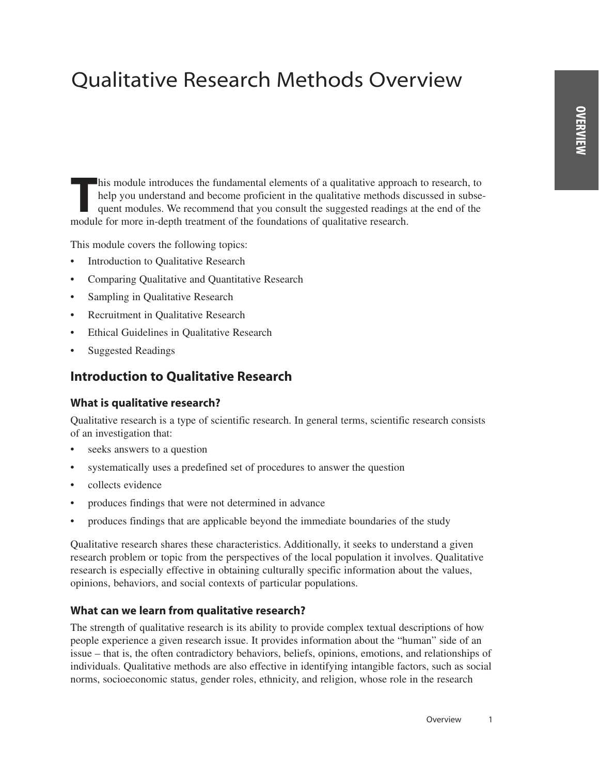# Qualitative Research Methods Overview

**T**his module introduces the fundamental elements of a qualitative approach to research, to help you understand and become proficient in the qualitative methods discussed in subsequent modules. We recommend that you consult the suggested readings at the end of the module for more in-depth treatment of the foundations of qualitative research.

This module covers the following topics:

- Introduction to Qualitative Research
- Comparing Qualitative and Quantitative Research
- Sampling in Qualitative Research
- Recruitment in Qualitative Research
- Ethical Guidelines in Qualitative Research
- Suggested Readings

### **Introduction to Qualitative Research**

### **What is qualitative research?**

Qualitative research is a type of scientific research. In general terms, scientific research consists of an investigation that:

- seeks answers to a question
- systematically uses a predefined set of procedures to answer the question
- collects evidence
- produces findings that were not determined in advance
- produces findings that are applicable beyond the immediate boundaries of the study

Qualitative research shares these characteristics. Additionally, it seeks to understand a given research problem or topic from the perspectives of the local population it involves. Qualitative research is especially effective in obtaining culturally specific information about the values, opinions, behaviors, and social contexts of particular populations.

### **What can we learn from qualitative research?**

The strength of qualitative research is its ability to provide complex textual descriptions of how people experience a given research issue. It provides information about the "human" side of an issue – that is, the often contradictory behaviors, beliefs, opinions, emotions, and relationships of individuals. Qualitative methods are also effective in identifying intangible factors, such as social norms, socioeconomic status, gender roles, ethnicity, and religion, whose role in the research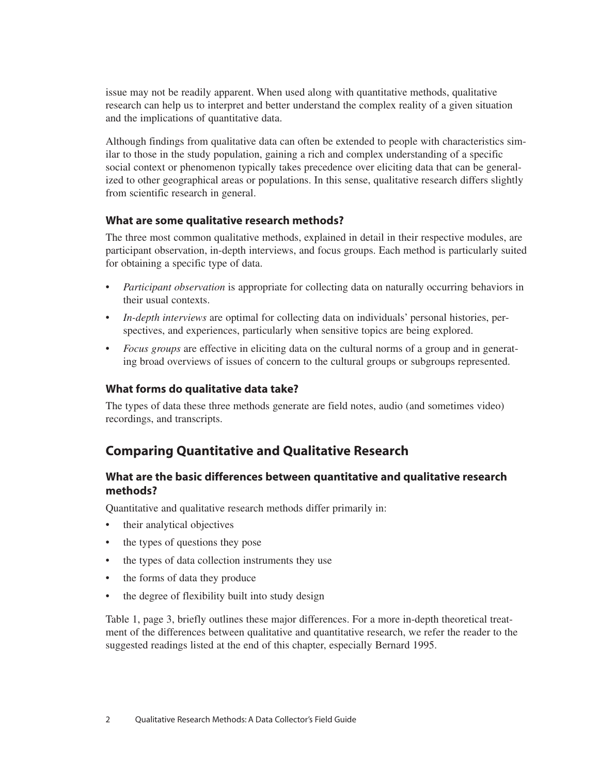issue may not be readily apparent. When used along with quantitative methods, qualitative research can help us to interpret and better understand the complex reality of a given situation and the implications of quantitative data.

Although findings from qualitative data can often be extended to people with characteristics similar to those in the study population, gaining a rich and complex understanding of a specific social context or phenomenon typically takes precedence over eliciting data that can be generalized to other geographical areas or populations. In this sense, qualitative research differs slightly from scientific research in general.

#### **What are some qualitative research methods?**

The three most common qualitative methods, explained in detail in their respective modules, are participant observation, in-depth interviews, and focus groups. Each method is particularly suited for obtaining a specific type of data.

- *Participant observation* is appropriate for collecting data on naturally occurring behaviors in their usual contexts.
- *In-depth interviews* are optimal for collecting data on individuals' personal histories, perspectives, and experiences, particularly when sensitive topics are being explored.
- *Focus groups* are effective in eliciting data on the cultural norms of a group and in generating broad overviews of issues of concern to the cultural groups or subgroups represented.

#### **What forms do qualitative data take?**

The types of data these three methods generate are field notes, audio (and sometimes video) recordings, and transcripts.

### **Comparing Quantitative and Qualitative Research**

### **What are the basic differences between quantitative and qualitative research methods?**

Quantitative and qualitative research methods differ primarily in:

- their analytical objectives
- the types of questions they pose
- the types of data collection instruments they use
- the forms of data they produce
- the degree of flexibility built into study design

Table 1, page 3, briefly outlines these major differences. For a more in-depth theoretical treatment of the differences between qualitative and quantitative research, we refer the reader to the suggested readings listed at the end of this chapter, especially Bernard 1995.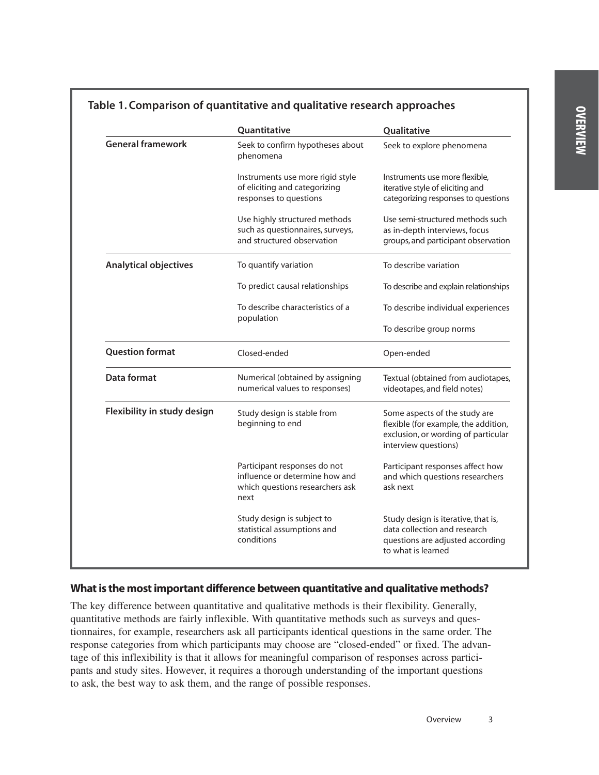#### **Table 1. Comparison of quantitative and qualitative research approaches General framework Analytical objectives Question format Data format Flexibility in study design Quantitative** Seek to confirm hypotheses about phenomena Instruments use more rigid style of eliciting and categorizing responses to questions Use highly structured methods such as questionnaires, surveys, and structured observation To quantify variation To predict causal relationships To describe characteristics of a population Closed-ended Numerical (obtained by assigning numerical values to responses) Study design is stable from beginning to end Participant responses do not influence or determine how and which questions researchers ask next Study design is subject to statistical assumptions and conditions **Qualitative** Seek to explore phenomena Instruments use more flexible, iterative style of eliciting and categorizing responses to questions Use semi-structured methods such as in-depth interviews, focus groups, and participant observation To describe variation To describe and explain relationships To describe individual experiences To describe group norms Open-ended Textual (obtained from audiotapes, videotapes, and field notes) Some aspects of the study are flexible (for example, the addition, exclusion, or wording of particular interview questions) Participant responses affect how and which questions researchers ask next Study design is iterative, that is, data collection and research questions are adjusted according

### **What is the most important difference between quantitative and qualitative methods?**

The key difference between quantitative and qualitative methods is their flexibility. Generally, quantitative methods are fairly inflexible. With quantitative methods such as surveys and questionnaires, for example, researchers ask all participants identical questions in the same order. The response categories from which participants may choose are "closed-ended" or fixed. The advantage of this inflexibility is that it allows for meaningful comparison of responses across participants and study sites. However, it requires a thorough understanding of the important questions to ask, the best way to ask them, and the range of possible responses.

to what is learned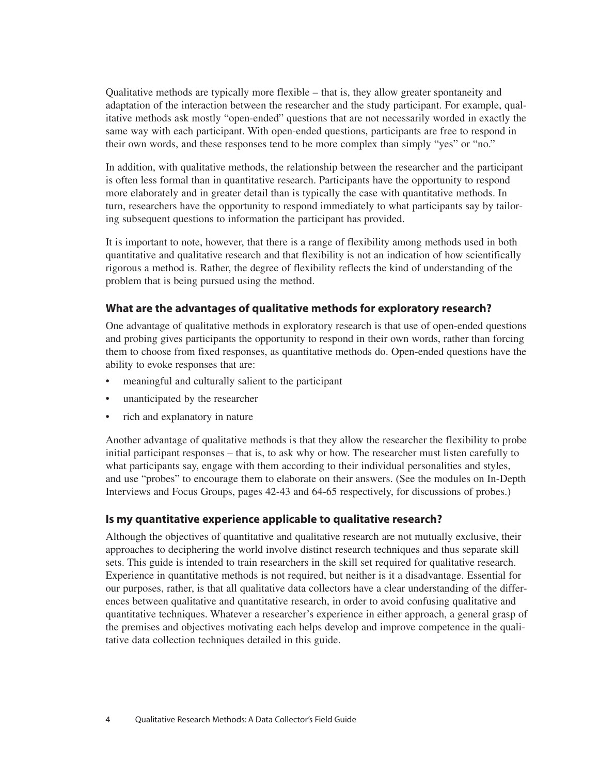Qualitative methods are typically more flexible – that is, they allow greater spontaneity and adaptation of the interaction between the researcher and the study participant. For example, qualitative methods ask mostly "open-ended" questions that are not necessarily worded in exactly the same way with each participant. With open-ended questions, participants are free to respond in their own words, and these responses tend to be more complex than simply "yes" or "no."

In addition, with qualitative methods, the relationship between the researcher and the participant is often less formal than in quantitative research. Participants have the opportunity to respond more elaborately and in greater detail than is typically the case with quantitative methods. In turn, researchers have the opportunity to respond immediately to what participants say by tailoring subsequent questions to information the participant has provided.

It is important to note, however, that there is a range of flexibility among methods used in both quantitative and qualitative research and that flexibility is not an indication of how scientifically rigorous a method is. Rather, the degree of flexibility reflects the kind of understanding of the problem that is being pursued using the method.

### **What are the advantages of qualitative methods for exploratory research?**

One advantage of qualitative methods in exploratory research is that use of open-ended questions and probing gives participants the opportunity to respond in their own words, rather than forcing them to choose from fixed responses, as quantitative methods do. Open-ended questions have the ability to evoke responses that are:

- meaningful and culturally salient to the participant
- unanticipated by the researcher
- rich and explanatory in nature

Another advantage of qualitative methods is that they allow the researcher the flexibility to probe initial participant responses – that is, to ask why or how. The researcher must listen carefully to what participants say, engage with them according to their individual personalities and styles, and use "probes" to encourage them to elaborate on their answers. (See the modules on In-Depth Interviews and Focus Groups, pages 42-43 and 64-65 respectively, for discussions of probes.)

#### **Is my quantitative experience applicable to qualitative research?**

Although the objectives of quantitative and qualitative research are not mutually exclusive, their approaches to deciphering the world involve distinct research techniques and thus separate skill sets. This guide is intended to train researchers in the skill set required for qualitative research. Experience in quantitative methods is not required, but neither is it a disadvantage. Essential for our purposes, rather, is that all qualitative data collectors have a clear understanding of the differences between qualitative and quantitative research, in order to avoid confusing qualitative and quantitative techniques. Whatever a researcher's experience in either approach, a general grasp of the premises and objectives motivating each helps develop and improve competence in the qualitative data collection techniques detailed in this guide.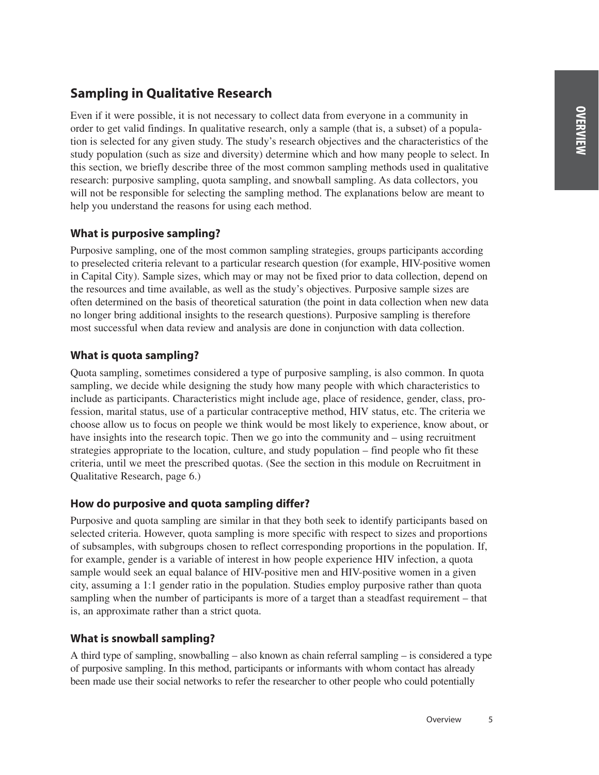### **Sampling in Qualitative Research**

Even if it were possible, it is not necessary to collect data from everyone in a community in order to get valid findings. In qualitative research, only a sample (that is, a subset) of a population is selected for any given study. The study's research objectives and the characteristics of the study population (such as size and diversity) determine which and how many people to select. In this section, we briefly describe three of the most common sampling methods used in qualitative research: purposive sampling, quota sampling, and snowball sampling. As data collectors, you will not be responsible for selecting the sampling method. The explanations below are meant to help you understand the reasons for using each method.

### **What is purposive sampling?**

Purposive sampling, one of the most common sampling strategies, groups participants according to preselected criteria relevant to a particular research question (for example, HIV-positive women in Capital City). Sample sizes, which may or may not be fixed prior to data collection, depend on the resources and time available, as well as the study's objectives. Purposive sample sizes are often determined on the basis of theoretical saturation (the point in data collection when new data no longer bring additional insights to the research questions). Purposive sampling is therefore most successful when data review and analysis are done in conjunction with data collection.

### **What is quota sampling?**

Quota sampling, sometimes considered a type of purposive sampling, is also common. In quota sampling, we decide while designing the study how many people with which characteristics to include as participants. Characteristics might include age, place of residence, gender, class, profession, marital status, use of a particular contraceptive method, HIV status, etc. The criteria we choose allow us to focus on people we think would be most likely to experience, know about, or have insights into the research topic. Then we go into the community and – using recruitment strategies appropriate to the location, culture, and study population – find people who fit these criteria, until we meet the prescribed quotas. (See the section in this module on Recruitment in Qualitative Research, page 6.)

### **How do purposive and quota sampling differ?**

Purposive and quota sampling are similar in that they both seek to identify participants based on selected criteria. However, quota sampling is more specific with respect to sizes and proportions of subsamples, with subgroups chosen to reflect corresponding proportions in the population. If, for example, gender is a variable of interest in how people experience HIV infection, a quota sample would seek an equal balance of HIV-positive men and HIV-positive women in a given city, assuming a 1:1 gender ratio in the population. Studies employ purposive rather than quota sampling when the number of participants is more of a target than a steadfast requirement – that is, an approximate rather than a strict quota.

### **What is snowball sampling?**

A third type of sampling, snowballing – also known as chain referral sampling – is considered a type of purposive sampling. In this method, participants or informants with whom contact has already been made use their social networks to refer the researcher to other people who could potentially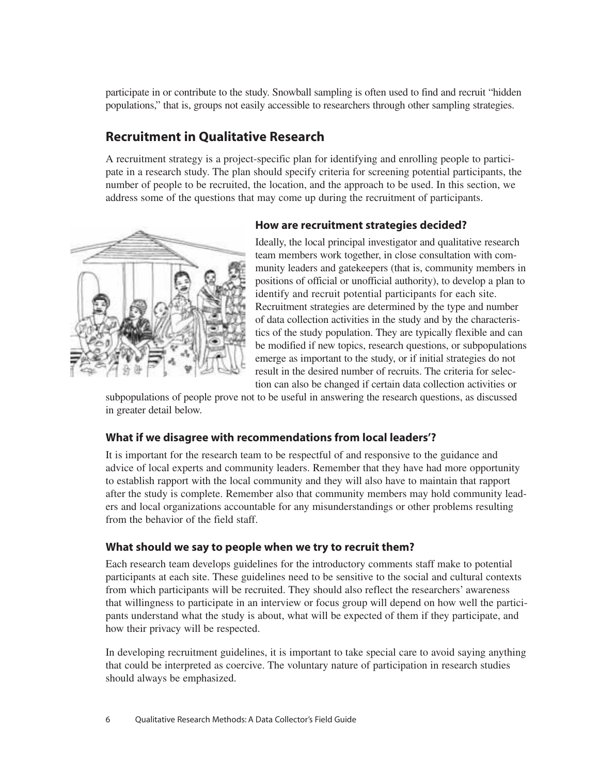participate in or contribute to the study. Snowball sampling is often used to find and recruit "hidden populations," that is, groups not easily accessible to researchers through other sampling strategies.

### **Recruitment in Qualitative Research**

A recruitment strategy is a project-specific plan for identifying and enrolling people to participate in a research study. The plan should specify criteria for screening potential participants, the number of people to be recruited, the location, and the approach to be used. In this section, we address some of the questions that may come up during the recruitment of participants.



### **How are recruitment strategies decided?**

Ideally, the local principal investigator and qualitative research team members work together, in close consultation with community leaders and gatekeepers (that is, community members in positions of official or unofficial authority), to develop a plan to identify and recruit potential participants for each site. Recruitment strategies are determined by the type and number of data collection activities in the study and by the characteristics of the study population. They are typically flexible and can be modified if new topics, research questions, or subpopulations emerge as important to the study, or if initial strategies do not result in the desired number of recruits. The criteria for selection can also be changed if certain data collection activities or

subpopulations of people prove not to be useful in answering the research questions, as discussed in greater detail below.

### **What if we disagree with recommendations from local leaders'?**

It is important for the research team to be respectful of and responsive to the guidance and advice of local experts and community leaders. Remember that they have had more opportunity to establish rapport with the local community and they will also have to maintain that rapport after the study is complete. Remember also that community members may hold community leaders and local organizations accountable for any misunderstandings or other problems resulting from the behavior of the field staff.

### **What should we say to people when we try to recruit them?**

Each research team develops guidelines for the introductory comments staff make to potential participants at each site. These guidelines need to be sensitive to the social and cultural contexts from which participants will be recruited. They should also reflect the researchers' awareness that willingness to participate in an interview or focus group will depend on how well the participants understand what the study is about, what will be expected of them if they participate, and how their privacy will be respected.

In developing recruitment guidelines, it is important to take special care to avoid saying anything that could be interpreted as coercive. The voluntary nature of participation in research studies should always be emphasized.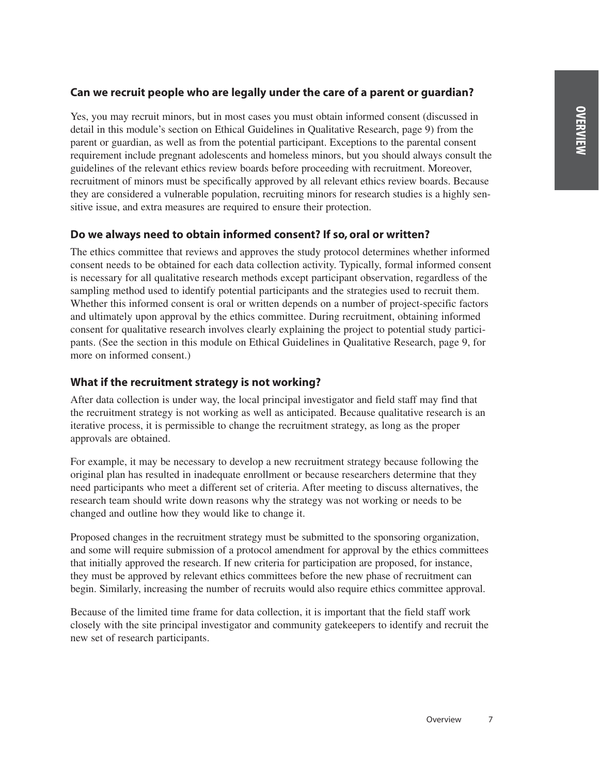### **Can we recruit people who are legally under the care of a parent or guardian?**

Yes, you may recruit minors, but in most cases you must obtain informed consent (discussed in detail in this module's section on Ethical Guidelines in Qualitative Research, page 9) from the parent or guardian, as well as from the potential participant. Exceptions to the parental consent requirement include pregnant adolescents and homeless minors, but you should always consult the guidelines of the relevant ethics review boards before proceeding with recruitment. Moreover, recruitment of minors must be specifically approved by all relevant ethics review boards. Because they are considered a vulnerable population, recruiting minors for research studies is a highly sensitive issue, and extra measures are required to ensure their protection.

#### **Do we always need to obtain informed consent? If so, oral or written?**

The ethics committee that reviews and approves the study protocol determines whether informed consent needs to be obtained for each data collection activity. Typically, formal informed consent is necessary for all qualitative research methods except participant observation, regardless of the sampling method used to identify potential participants and the strategies used to recruit them. Whether this informed consent is oral or written depends on a number of project-specific factors and ultimately upon approval by the ethics committee. During recruitment, obtaining informed consent for qualitative research involves clearly explaining the project to potential study participants. (See the section in this module on Ethical Guidelines in Qualitative Research, page 9, for more on informed consent.)

### **What if the recruitment strategy is not working?**

After data collection is under way, the local principal investigator and field staff may find that the recruitment strategy is not working as well as anticipated. Because qualitative research is an iterative process, it is permissible to change the recruitment strategy, as long as the proper approvals are obtained.

For example, it may be necessary to develop a new recruitment strategy because following the original plan has resulted in inadequate enrollment or because researchers determine that they need participants who meet a different set of criteria. After meeting to discuss alternatives, the research team should write down reasons why the strategy was not working or needs to be changed and outline how they would like to change it.

Proposed changes in the recruitment strategy must be submitted to the sponsoring organization, and some will require submission of a protocol amendment for approval by the ethics committees that initially approved the research. If new criteria for participation are proposed, for instance, they must be approved by relevant ethics committees before the new phase of recruitment can begin. Similarly, increasing the number of recruits would also require ethics committee approval.

Because of the limited time frame for data collection, it is important that the field staff work closely with the site principal investigator and community gatekeepers to identify and recruit the new set of research participants.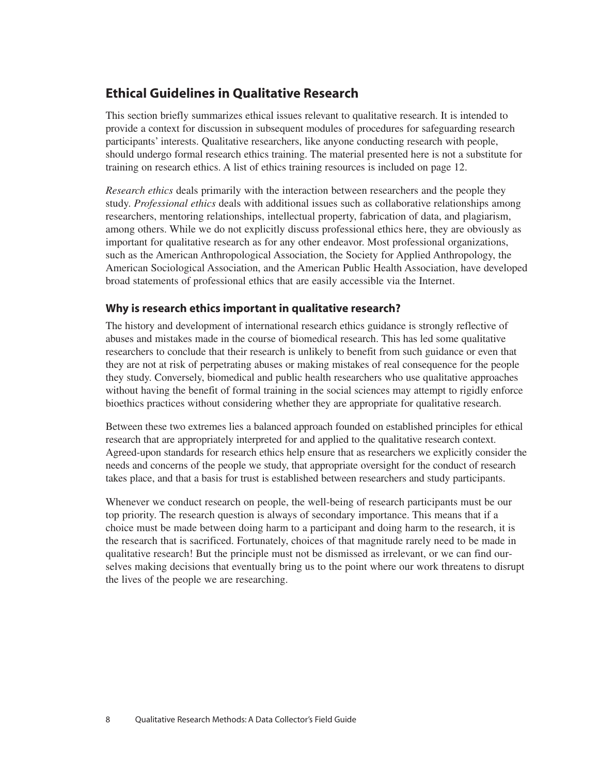### **Ethical Guidelines in Qualitative Research**

This section briefly summarizes ethical issues relevant to qualitative research. It is intended to provide a context for discussion in subsequent modules of procedures for safeguarding research participants' interests. Qualitative researchers, like anyone conducting research with people, should undergo formal research ethics training. The material presented here is not a substitute for training on research ethics. A list of ethics training resources is included on page 12.

*Research ethics* deals primarily with the interaction between researchers and the people they study. *Professional ethics* deals with additional issues such as collaborative relationships among researchers, mentoring relationships, intellectual property, fabrication of data, and plagiarism, among others. While we do not explicitly discuss professional ethics here, they are obviously as important for qualitative research as for any other endeavor. Most professional organizations, such as the American Anthropological Association, the Society for Applied Anthropology, the American Sociological Association, and the American Public Health Association, have developed broad statements of professional ethics that are easily accessible via the Internet.

### **Why is research ethics important in qualitative research?**

The history and development of international research ethics guidance is strongly reflective of abuses and mistakes made in the course of biomedical research. This has led some qualitative researchers to conclude that their research is unlikely to benefit from such guidance or even that they are not at risk of perpetrating abuses or making mistakes of real consequence for the people they study. Conversely, biomedical and public health researchers who use qualitative approaches without having the benefit of formal training in the social sciences may attempt to rigidly enforce bioethics practices without considering whether they are appropriate for qualitative research.

Between these two extremes lies a balanced approach founded on established principles for ethical research that are appropriately interpreted for and applied to the qualitative research context. Agreed-upon standards for research ethics help ensure that as researchers we explicitly consider the needs and concerns of the people we study, that appropriate oversight for the conduct of research takes place, and that a basis for trust is established between researchers and study participants.

Whenever we conduct research on people, the well-being of research participants must be our top priority. The research question is always of secondary importance. This means that if a choice must be made between doing harm to a participant and doing harm to the research, it is the research that is sacrificed. Fortunately, choices of that magnitude rarely need to be made in qualitative research! But the principle must not be dismissed as irrelevant, or we can find ourselves making decisions that eventually bring us to the point where our work threatens to disrupt the lives of the people we are researching.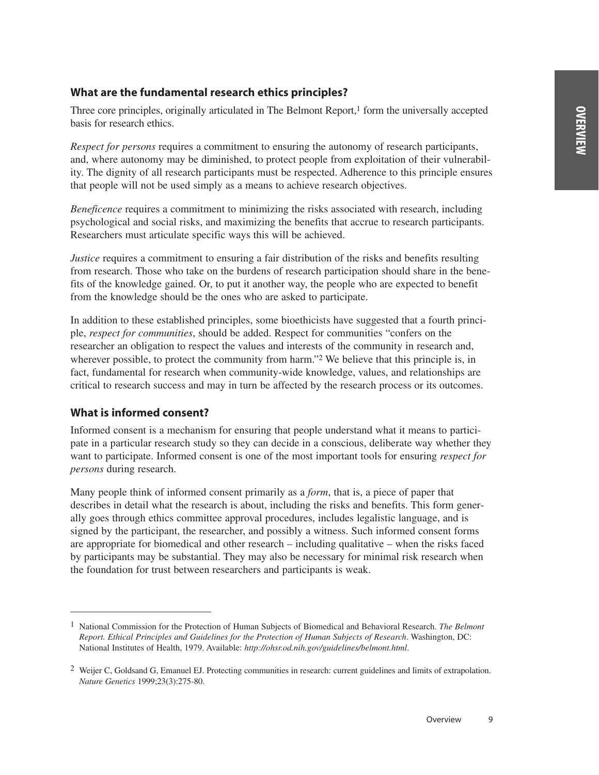### **What are the fundamental research ethics principles?**

Three core principles, originally articulated in The Belmont Report,<sup>1</sup> form the universally accepted basis for research ethics.

*Respect for persons* requires a commitment to ensuring the autonomy of research participants, and, where autonomy may be diminished, to protect people from exploitation of their vulnerability. The dignity of all research participants must be respected. Adherence to this principle ensures that people will not be used simply as a means to achieve research objectives.

*Beneficence* requires a commitment to minimizing the risks associated with research, including psychological and social risks, and maximizing the benefits that accrue to research participants. Researchers must articulate specific ways this will be achieved.

*Justice* requires a commitment to ensuring a fair distribution of the risks and benefits resulting from research. Those who take on the burdens of research participation should share in the benefits of the knowledge gained. Or, to put it another way, the people who are expected to benefit from the knowledge should be the ones who are asked to participate.

In addition to these established principles, some bioethicists have suggested that a fourth principle, *respect for communities*, should be added. Respect for communities "confers on the researcher an obligation to respect the values and interests of the community in research and, wherever possible, to protect the community from harm."<sup>2</sup> We believe that this principle is, in fact, fundamental for research when community-wide knowledge, values, and relationships are critical to research success and may in turn be affected by the research process or its outcomes.

### **What is informed consent?**

Informed consent is a mechanism for ensuring that people understand what it means to participate in a particular research study so they can decide in a conscious, deliberate way whether they want to participate. Informed consent is one of the most important tools for ensuring *respect for persons* during research.

Many people think of informed consent primarily as a *form*, that is, a piece of paper that describes in detail what the research is about, including the risks and benefits. This form generally goes through ethics committee approval procedures, includes legalistic language, and is signed by the participant, the researcher, and possibly a witness. Such informed consent forms are appropriate for biomedical and other research – including qualitative – when the risks faced by participants may be substantial. They may also be necessary for minimal risk research when the foundation for trust between researchers and participants is weak.

<sup>1</sup> National Commission for the Protection of Human Subjects of Biomedical and Behavioral Research. *The Belmont Report. Ethical Principles and Guidelines for the Protection of Human Subjects of Research*. Washington, DC: National Institutes of Health, 1979. Available: *http://ohsr.od.nih.gov/guidelines/belmont.html*.

<sup>2</sup> Weijer C, Goldsand G, Emanuel EJ. Protecting communities in research: current guidelines and limits of extrapolation. *Nature Genetics* 1999;23(3):275-80.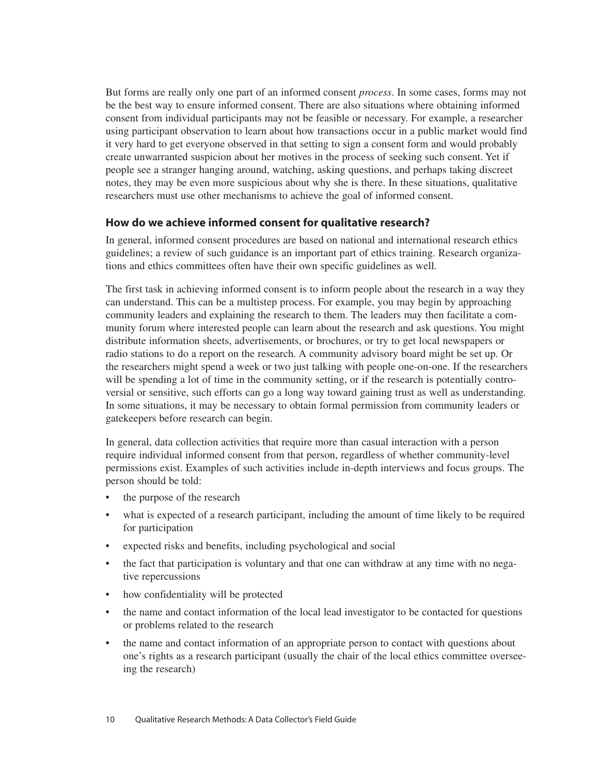But forms are really only one part of an informed consent *process*. In some cases, forms may not be the best way to ensure informed consent. There are also situations where obtaining informed consent from individual participants may not be feasible or necessary. For example, a researcher using participant observation to learn about how transactions occur in a public market would find it very hard to get everyone observed in that setting to sign a consent form and would probably create unwarranted suspicion about her motives in the process of seeking such consent. Yet if people see a stranger hanging around, watching, asking questions, and perhaps taking discreet notes, they may be even more suspicious about why she is there. In these situations, qualitative researchers must use other mechanisms to achieve the goal of informed consent.

#### **How do we achieve informed consent for qualitative research?**

In general, informed consent procedures are based on national and international research ethics guidelines; a review of such guidance is an important part of ethics training. Research organizations and ethics committees often have their own specific guidelines as well.

The first task in achieving informed consent is to inform people about the research in a way they can understand. This can be a multistep process. For example, you may begin by approaching community leaders and explaining the research to them. The leaders may then facilitate a community forum where interested people can learn about the research and ask questions. You might distribute information sheets, advertisements, or brochures, or try to get local newspapers or radio stations to do a report on the research. A community advisory board might be set up. Or the researchers might spend a week or two just talking with people one-on-one. If the researchers will be spending a lot of time in the community setting, or if the research is potentially controversial or sensitive, such efforts can go a long way toward gaining trust as well as understanding. In some situations, it may be necessary to obtain formal permission from community leaders or gatekeepers before research can begin.

In general, data collection activities that require more than casual interaction with a person require individual informed consent from that person, regardless of whether community-level permissions exist. Examples of such activities include in-depth interviews and focus groups. The person should be told:

- the purpose of the research
- what is expected of a research participant, including the amount of time likely to be required for participation
- expected risks and benefits, including psychological and social
- the fact that participation is voluntary and that one can withdraw at any time with no negative repercussions
- how confidentiality will be protected
- the name and contact information of the local lead investigator to be contacted for questions or problems related to the research
- the name and contact information of an appropriate person to contact with questions about one's rights as a research participant (usually the chair of the local ethics committee overseeing the research)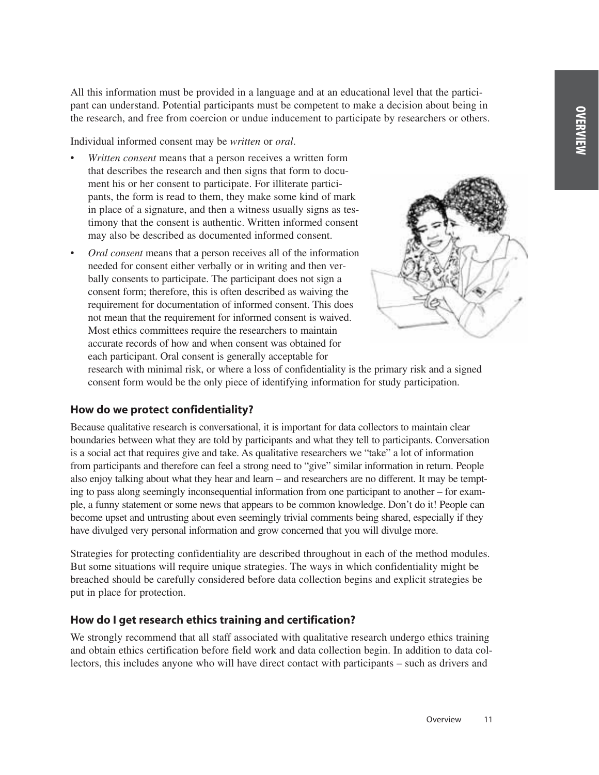All this information must be provided in a language and at an educational level that the participant can understand. Potential participants must be competent to make a decision about being in the research, and free from coercion or undue inducement to participate by researchers or others.

Individual informed consent may be *written* or *oral*.

- *Written consent* means that a person receives a written form that describes the research and then signs that form to document his or her consent to participate. For illiterate participants, the form is read to them, they make some kind of mark in place of a signature, and then a witness usually signs as testimony that the consent is authentic. Written informed consent may also be described as documented informed consent.
- *Oral consent* means that a person receives all of the information needed for consent either verbally or in writing and then verbally consents to participate. The participant does not sign a consent form; therefore, this is often described as waiving the requirement for documentation of informed consent. This does not mean that the requirement for informed consent is waived. Most ethics committees require the researchers to maintain accurate records of how and when consent was obtained for each participant. Oral consent is generally acceptable for



research with minimal risk, or where a loss of confidentiality is the primary risk and a signed consent form would be the only piece of identifying information for study participation.

### **How do we protect confidentiality?**

Because qualitative research is conversational, it is important for data collectors to maintain clear boundaries between what they are told by participants and what they tell to participants. Conversation is a social act that requires give and take. As qualitative researchers we "take" a lot of information from participants and therefore can feel a strong need to "give" similar information in return. People also enjoy talking about what they hear and learn – and researchers are no different. It may be tempting to pass along seemingly inconsequential information from one participant to another – for example, a funny statement or some news that appears to be common knowledge. Don't do it! People can become upset and untrusting about even seemingly trivial comments being shared, especially if they have divulged very personal information and grow concerned that you will divulge more.

Strategies for protecting confidentiality are described throughout in each of the method modules. But some situations will require unique strategies. The ways in which confidentiality might be breached should be carefully considered before data collection begins and explicit strategies be put in place for protection.

#### **How do I get research ethics training and certification?**

We strongly recommend that all staff associated with qualitative research undergo ethics training and obtain ethics certification before field work and data collection begin. In addition to data collectors, this includes anyone who will have direct contact with participants – such as drivers and